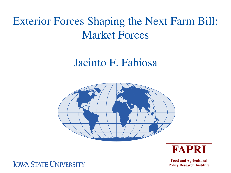# Exterior Forces Shaping the Next Farm Bill: Market Forces

# Jacinto F. Fabiosa





**Food and Agricultural Policy Research Institute**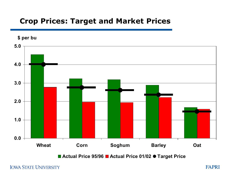## **Crop Prices: Target and Market Prices**

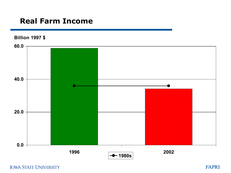# **Real Farm Income**

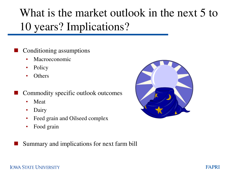# What is the market outlook in the next 5 to 10 years? Implications?

- Conditioning assumptions
	- Macroeconomic
	- Policy
	- Others
- Commodity specific outlook outcomes
	- Meat
	- Dairy
	- Feed grain and Oilseed complex
	- Food grain



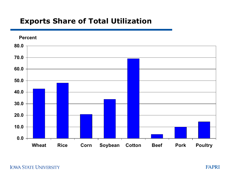# **Exports Share of Total Utilization**

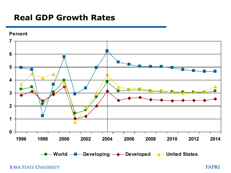# **Real GDP Growth Rates**



**IOWA STATE UNIVERSITY** 

FAPRI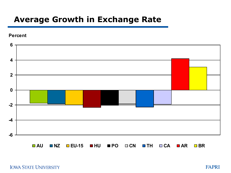# **Average Growth in Exchange Rate**





**AU NZ EU-15 HU PO CN TH CA AR BR**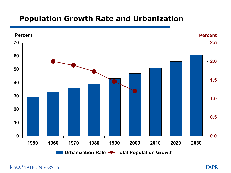### **Population Growth Rate and Urbanization**

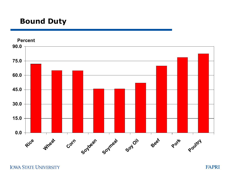# **Bound Duty**

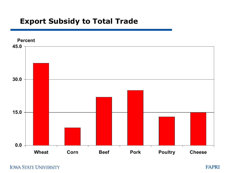# **Export Subsidy to Total Trade**



**IOWA STATE UNIVERSITY** 

FAPRI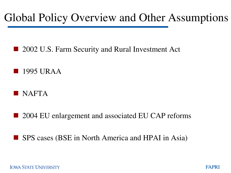# Global Policy Overview and Other Assumptions

- 2002 U.S. Farm Security and Rural Investment Act
- 1995 URAA
- NAFTA
- 2004 EU enlargement and associated EU CAP reforms
- SPS cases (BSE in North America and HPAI in Asia)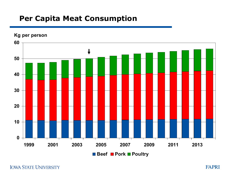## **Per Capita Meat Consumption**

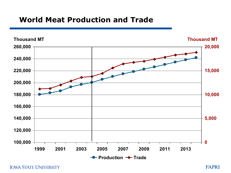### **World Meat Production and Trade**

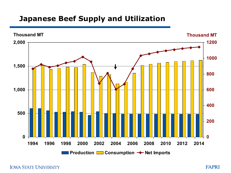# **Japanese Beef Supply and Utilization**

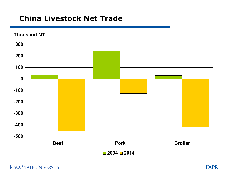### **China Livestock Net Trade**

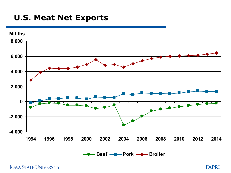# **U.S. Meat Net Exports**

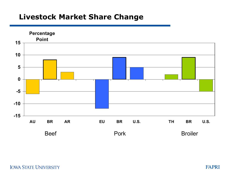### **Livestock Market Share Change**

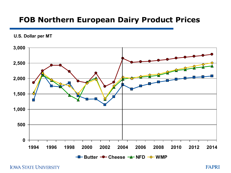### **FOB Northern European Dairy Product Prices**

**U.S. Dollar per MT**

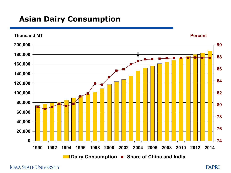# **Asian Dairy Consumption**

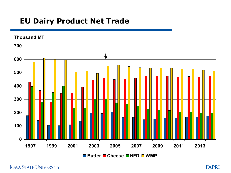# **EU Dairy Product Net Trade**



**IOWA STATE UNIVERSITY**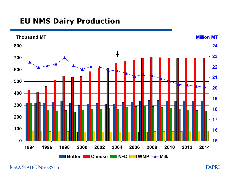# **EU NMS Dairy Production**

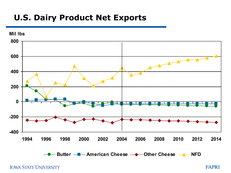# **U.S. Dairy Product Net Exports**



**IOWA STATE UNIVERSITY** 

FAPRI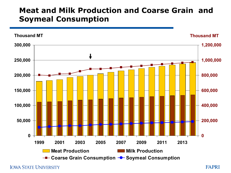# **Meat and Milk Production and Coarse Grain and Soymeal Consumption**

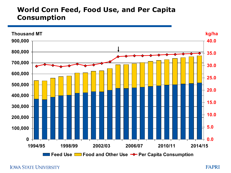#### **World Corn Feed, Food Use, and Per Capita Consumption**

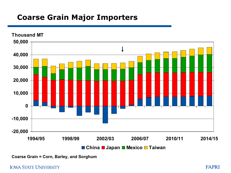# **Coarse Grain Major Importers**



**Coarse Grain = Corn, Barley, and Sorghum**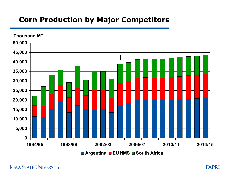# **Corn Production by Major Competitors**



**IOWA STATE UNIVERSITY**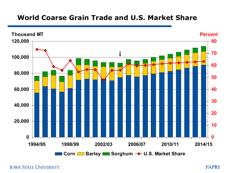#### **World Coarse Grain Trade and U.S. Market Share**

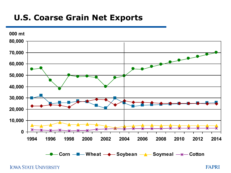# **U.S. Coarse Grain Net Exports**



**IOWA STATE UNIVERSITY** 

FAPRI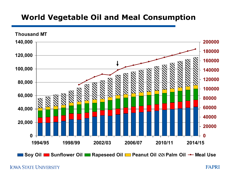# **World Vegetable Oil and Meal Consumption**



■ Soy Oil ■ Sunflower Oil ■ Rapeseed Oil ■ Peanut Oil �� Palm Oil → Meal Use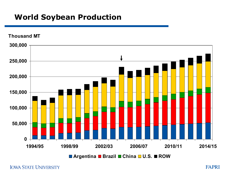# **World Soybean Production**

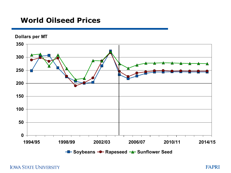#### **World Oilseed Prices**



**Dollars per MT**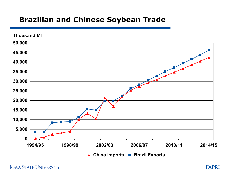# **Brazilian and Chinese Soybean Trade**

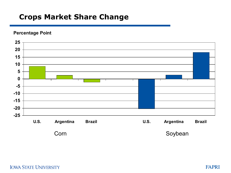## **Crops Market Share Change**

**Percentage Point**

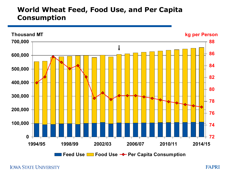#### **World Wheat Feed, Food Use, and Per Capita Consumption**

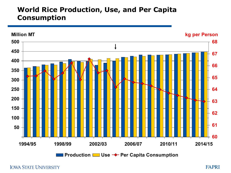#### **World Rice Production, Use, and Per Capita Consumption**

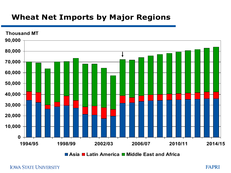# **Wheat Net Imports by Major Regions**

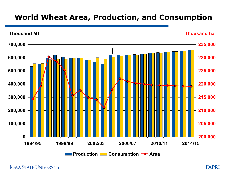# **World Wheat Area, Production, and Consumption**

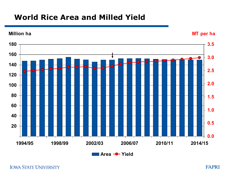# **World Rice Area and Milled Yield**

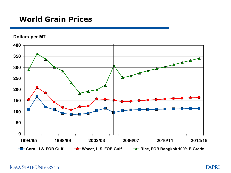### **World Grain Prices**

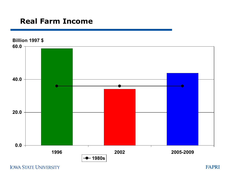# **Real Farm Income**

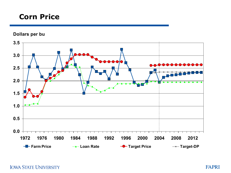### **Corn Price**

**Dollars per bu**

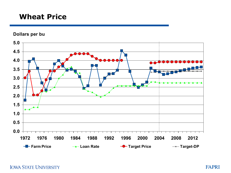#### **Wheat Price**

**Dollars per bu**

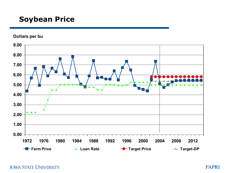# **Soybean Price**

**Dollars per bu**

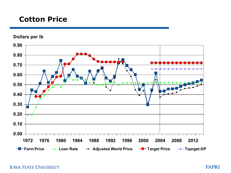# **Cotton Price**

**Dollars per lb**

**0.00 0.10 0.20 0.30 0.40 0.50 0.60 0.70 0.80 0.90 1972 1976 1980 1984 1988 1992 1996 2000 2004 2008 2012 Farm Price** → Loan Rate → Adjusted World Price → Target Price → Tqarget-DP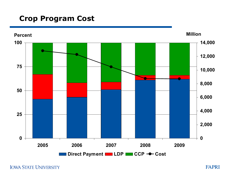# **Crop Program Cost**

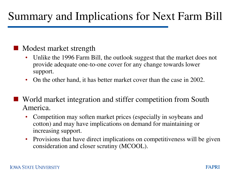# Summary and Implications for Next Farm Bill

# Modest market strength

- Unlike the 1996 Farm Bill, the outlook suggest that the market does not provide adequate one-to-one cover for any change towards lower support.
- On the other hand, it has better market cover than the case in 2002.
- World market integration and stiffer competition from South America.
	- Competition may soften market prices (especially in soybeans and cotton) and may have implications on demand for maintaining or increasing support.
	- Provisions that have direct implications on competitiveness will be given consideration and closer scrutiny (MCOOL).